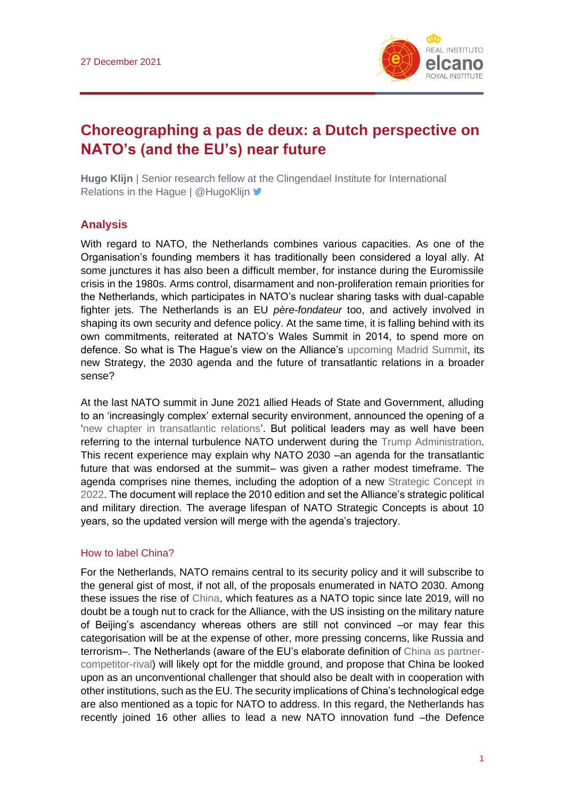

# **Choreographing a pas de deux: a Dutch perspective on NATO's (and the EU's) near future**

**Hugo Klijn** | Senior research fellow at the Clingendael Institute for International Relations in the Hague | @HugoKlijn  $\blacktriangleright$ 

### **Analysis**

With regard to NATO, the Netherlands combines various capacities. As one of the Organisation's founding members it has traditionally been considered a loyal ally. At some junctures it has also been a difficult member, for instance during the Euromissile crisis in the 1980s. Arms control, disarmament and non-proliferation remain priorities for the Netherlands, which participates in NATO's nuclear sharing tasks with dual-capable fighter jets. The Netherlands is an EU *père-fondateur* too, and actively involved in shaping its own security and defence policy. At the same time, it is falling behind with its own commitments, reiterated at NATO's Wales Summit in 2014, to spend more on defence. So what is The Hague's view on the Alliance's [upcoming Madrid Summit,](http://www.realinstitutoelcano.org/wps/portal/rielcano_es/contenido?WCM_GLOBAL_CONTEXT=/elcano/elcano_es/zonas_es/ari106-2021-arteaga-simon-otan-se-actualiza-concepto-estrategico-madrid) its new Strategy, the 2030 agenda and the future of transatlantic relations in a broader sense?

At the last NATO summit in June 2021 allied Heads of State and Government, alluding to an 'increasingly complex' external security environment, announced the opening of a ['new chapter in transatlantic relations'](https://www.nato.int/cps/en/natohq/news_185000.htm). But political leaders may as well have been referring to the internal turbulence NATO underwent during the [Trump Administration.](http://www.realinstitutoelcano.org/wps/portal/rielcano_en/contenido?WCM_GLOBAL_CONTEXT=/elcano/elcano_in/zonas_in/usa-transatlantic+dialogue/wp14-2018-garciaencina-trump-administration-national-security-strategy) This recent experience may explain why NATO 2030 –an agenda for the transatlantic future that was endorsed at the summit– was given a rather modest timeframe. The agenda comprises nine themes, including the adoption of a new [Strategic Concept in](https://www.nato.int/nato_static_fl2014/assets/pdf/2021/6/pdf/2106-factsheet-nato2030-en.pdf)  [2022.](https://www.nato.int/nato_static_fl2014/assets/pdf/2021/6/pdf/2106-factsheet-nato2030-en.pdf) The document will replace the 2010 edition and set the Alliance's strategic political and military direction. The average lifespan of NATO Strategic Concepts is about 10 years, so the updated version will merge with the agenda's trajectory.

#### How to label China?

For the Netherlands, NATO remains central to its security policy and it will subscribe to the general gist of most, if not all, of the proposals enumerated in NATO 2030. Among these issues the rise of [China,](https://blog.realinstitutoelcano.org/en/tag/china-en/) which features as a NATO topic since late 2019, will no doubt be a tough nut to crack for the Alliance, with the US insisting on the military nature of Beijing's ascendancy whereas others are still not convinced –or may fear this categorisation will be at the expense of other, more pressing concerns, like Russia and terrorism–. The Netherlands (aware of the EU's elaborate definition of [China as partner](https://eur-lex.europa.eu/legal-content/EN/TXT/PDF/?uri=CELEX:52019JC0005)[competitor-rival\)](https://eur-lex.europa.eu/legal-content/EN/TXT/PDF/?uri=CELEX:52019JC0005) will likely opt for the middle ground, and propose that China be looked upon as an unconventional challenger that should also be dealt with in cooperation with other institutions, such as the EU. The security implications of China's technological edge are also mentioned as a topic for NATO to address. In this regard, the Netherlands has recently joined 16 other allies to lead a new NATO innovation fund –the Defence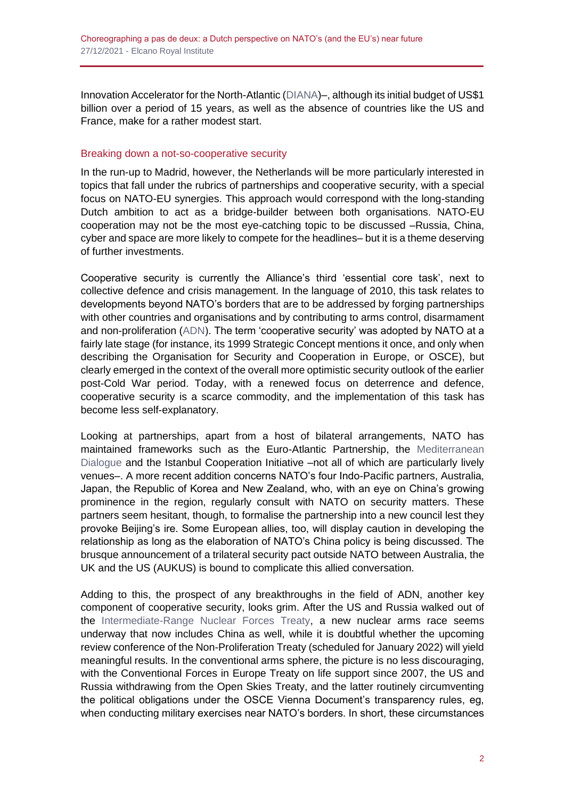Innovation Accelerator for the North-Atlantic [\(DIANA\)](https://www.nato.int/cps/en/natohq/news_187607.htm)–, although its initial budget of US\$1 billion over a period of 15 years, as well as the absence of countries like the US and France, make for a rather modest start.

### Breaking down a not-so-cooperative security

In the run-up to Madrid, however, the Netherlands will be more particularly interested in topics that fall under the rubrics of partnerships and cooperative security, with a special focus on NATO-EU synergies. This approach would correspond with the long-standing Dutch ambition to act as a bridge-builder between both organisations. NATO-EU cooperation may not be the most eye-catching topic to be discussed –Russia, China, cyber and space are more likely to compete for the headlines– but it is a theme deserving of further investments.

Cooperative security is currently the Alliance's third 'essential core task', next to collective defence and crisis management. In the language of 2010, this task relates to developments beyond NATO's borders that are to be addressed by forging partnerships with other countries and organisations and by contributing to arms control, disarmament and non-proliferation [\(ADN\)](https://www.nato.int/nato_static/assets/pdf/pdf_publications/20120214_strategic-concept-2010-eng.pdf). The term 'cooperative security' was adopted by NATO at a fairly late stage (for instance, its 1999 Strategic Concept mentions it once, and only when describing the Organisation for Security and Cooperation in Europe, or OSCE), but clearly emerged in the context of the overall more optimistic security outlook of the earlier post-Cold War period. Today, with a renewed focus on deterrence and defence, cooperative security is a scarce commodity, and the implementation of this task has become less self-explanatory.

Looking at partnerships, apart from a host of bilateral arrangements, NATO has maintained frameworks such as the Euro-Atlantic Partnership, the [Mediterranean](http://www.realinstitutoelcano.org/wps/portal/rielcano_en/contenido?WCM_GLOBAL_CONTEXT=/elcano/elcano_in/zonas_in/ari79-2019-lesser-emerging-security-challenges-natos-southern-neighbourhood)  [Dialogue](http://www.realinstitutoelcano.org/wps/portal/rielcano_en/contenido?WCM_GLOBAL_CONTEXT=/elcano/elcano_in/zonas_in/ari79-2019-lesser-emerging-security-challenges-natos-southern-neighbourhood) and the Istanbul Cooperation Initiative –not all of which are particularly lively venues–. A more recent addition concerns NATO's four Indo-Pacific partners, Australia, Japan, the Republic of Korea and New Zealand, who, with an eye on China's growing prominence in the region, regularly consult with NATO on security matters. These partners seem hesitant, though, to formalise the partnership into a new council lest they provoke Beijing's ire. Some European allies, too, will display caution in developing the relationship as long as the elaboration of NATO's China policy is being discussed. The brusque announcement of a trilateral security pact outside NATO between Australia, the UK and the US (AUKUS) is bound to complicate this allied conversation.

Adding to this, the prospect of any breakthroughs in the field of ADN, another key component of cooperative security, looks grim. After the US and Russia walked out of the [Intermediate-Range Nuclear Forces Treaty,](https://blog.realinstitutoelcano.org/en/ending-zero-zero-under-chinas-shadow/) a new nuclear arms race seems underway that now includes China as well, while it is doubtful whether the upcoming review conference of the Non-Proliferation Treaty (scheduled for January 2022) will yield meaningful results. In the conventional arms sphere, the picture is no less discouraging, with the Conventional Forces in Europe Treaty on life support since 2007, the US and Russia withdrawing from the Open Skies Treaty, and the latter routinely circumventing the political obligations under the OSCE Vienna Document's transparency rules, eg, when conducting military exercises near NATO's borders. In short, these circumstances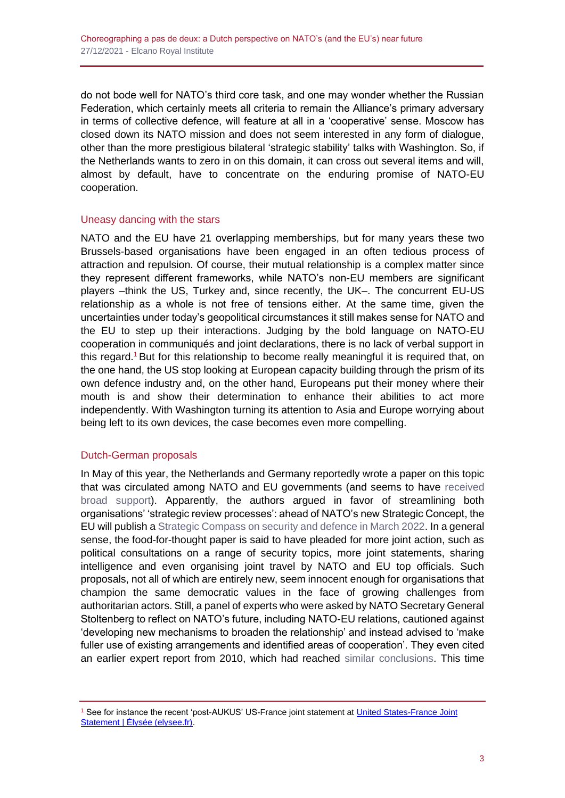do not bode well for NATO's third core task, and one may wonder whether the Russian Federation, which certainly meets all criteria to remain the Alliance's primary adversary in terms of collective defence, will feature at all in a 'cooperative' sense. Moscow has closed down its NATO mission and does not seem interested in any form of dialogue, other than the more prestigious bilateral 'strategic stability' talks with Washington. So, if the Netherlands wants to zero in on this domain, it can cross out several items and will, almost by default, have to concentrate on the enduring promise of NATO-EU cooperation.

### Uneasy dancing with the stars

NATO and the EU have 21 overlapping memberships, but for many years these two Brussels-based organisations have been engaged in an often tedious process of attraction and repulsion. Of course, their mutual relationship is a complex matter since they represent different frameworks, while NATO's non-EU members are significant players –think the US, Turkey and, since recently, the UK–. The concurrent EU-US relationship as a whole is not free of tensions either. At the same time, given the uncertainties under today's geopolitical circumstances it still makes sense for NATO and the EU to step up their interactions. Judging by the bold language on NATO-EU cooperation in communiqués and joint declarations, there is no lack of verbal support in this regard.<sup>1</sup> But for this relationship to become really meaningful it is required that, on the one hand, the US stop looking at European capacity building through the prism of its own defence industry and, on the other hand, Europeans put their money where their mouth is and show their determination to enhance their abilities to act more independently. With Washington turning its attention to Asia and Europe worrying about being left to its own devices, the case becomes even more compelling.

### Dutch-German proposals

In May of this year, the Netherlands and Germany reportedly wrote a paper on this topic that was circulated among NATO and EU governments (and seems to have [received](https://www.politico.eu/article/german-dutch-paper-urges-stronger-nato-eu-ties/)  [broad support\)](https://www.politico.eu/article/german-dutch-paper-urges-stronger-nato-eu-ties/). Apparently, the authors argued in favor of streamlining both organisations' 'strategic review processes': ahead of NATO's new Strategic Concept, the EU will publish [a Strategic Compass on security and defence in March 2022.](https://www.iss.europa.eu/sites/default/files/EUISSFiles/Event%20Report%20-%20EUISS%20Strategic%20Compass.pdf) In a general sense, the food-for-thought paper is said to have pleaded for more joint action, such as political consultations on a range of security topics, more joint statements, sharing intelligence and even organising joint travel by NATO and EU top officials. Such proposals, not all of which are entirely new, seem innocent enough for organisations that champion the same democratic values in the face of growing challenges from authoritarian actors. Still, a panel of experts who were asked by NATO Secretary General Stoltenberg to reflect on NATO's future, including NATO-EU relations, cautioned against 'developing new mechanisms to broaden the relationship' and instead advised to 'make fuller use of existing arrangements and identified areas of cooperation'. They even cited an earlier expert report from 2010, which had reached [similar conclusions.](https://www.nato.int/nato_static_fl2014/assets/pdf/2020/12/pdf/201201-Reflection-Group-Final-Report-Uni.pdf) This time

<sup>1</sup> See for instance the recent 'post-AUKUS' US-France joint statement a[t United States-France Joint](https://www.elysee.fr/en/emmanuel-macron/2021/10/29/united-states-france-joint-statement)  [Statement | Élysée \(elysee.fr\).](https://www.elysee.fr/en/emmanuel-macron/2021/10/29/united-states-france-joint-statement)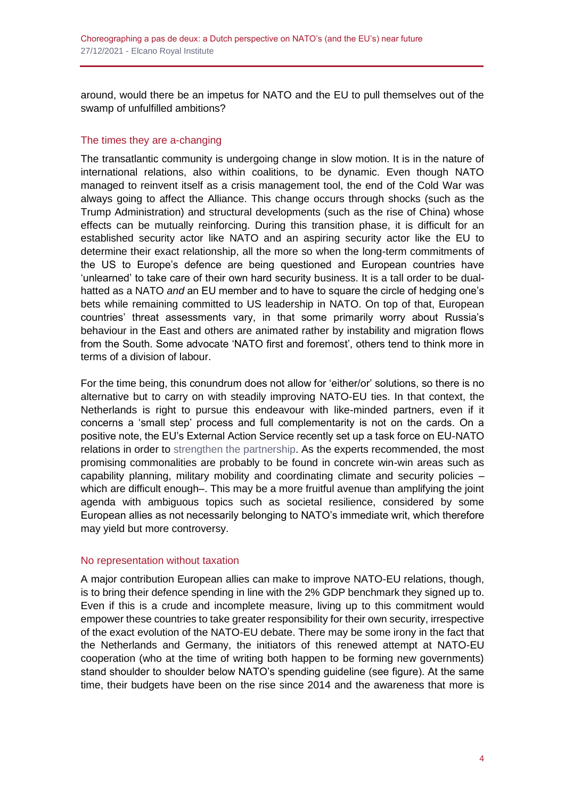around, would there be an impetus for NATO and the EU to pull themselves out of the swamp of unfulfilled ambitions?

## The times they are a-changing

The transatlantic community is undergoing change in slow motion. It is in the nature of international relations, also within coalitions, to be dynamic. Even though NATO managed to reinvent itself as a crisis management tool, the end of the Cold War was always going to affect the Alliance. This change occurs through shocks (such as the Trump Administration) and structural developments (such as the rise of China) whose effects can be mutually reinforcing. During this transition phase, it is difficult for an established security actor like NATO and an aspiring security actor like the EU to determine their exact relationship, all the more so when the long-term commitments of the US to Europe's defence are being questioned and European countries have 'unlearned' to take care of their own hard security business. It is a tall order to be dualhatted as a NATO *and* an EU member and to have to square the circle of hedging one's bets while remaining committed to US leadership in NATO. On top of that, European countries' threat assessments vary, in that some primarily worry about Russia's behaviour in the East and others are animated rather by instability and migration flows from the South. Some advocate 'NATO first and foremost', others tend to think more in terms of a division of labour.

For the time being, this conundrum does not allow for 'either/or' solutions, so there is no alternative but to carry on with steadily improving NATO-EU ties. In that context, the Netherlands is right to pursue this endeavour with like-minded partners, even if it concerns a 'small step' process and full complementarity is not on the cards. On a positive note, the EU's External Action Service recently set up a task force on EU-NATO relations in order to [strengthen the partnership.](https://twitter.com/sanninoeu/status/1435581830074413058) As the experts recommended, the most promising commonalities are probably to be found in concrete win-win areas such as capability planning, military mobility and coordinating climate and security policies – which are difficult enough-. This may be a more fruitful avenue than amplifying the joint agenda with ambiguous topics such as societal resilience, considered by some European allies as not necessarily belonging to NATO's immediate writ, which therefore may yield but more controversy.

### No representation without taxation

A major contribution European allies can make to improve NATO-EU relations, though, is to bring their defence spending in line with the 2% GDP benchmark they signed up to. Even if this is a crude and incomplete measure, living up to this commitment would empower these countries to take greater responsibility for their own security, irrespective of the exact evolution of the NATO-EU debate. There may be some irony in the fact that the Netherlands and Germany, the initiators of this renewed attempt at NATO-EU cooperation (who at the time of writing both happen to be forming new governments) stand shoulder to shoulder below NATO's spending guideline (see figure). At the same time, their budgets have been on the rise since 2014 and the awareness that more is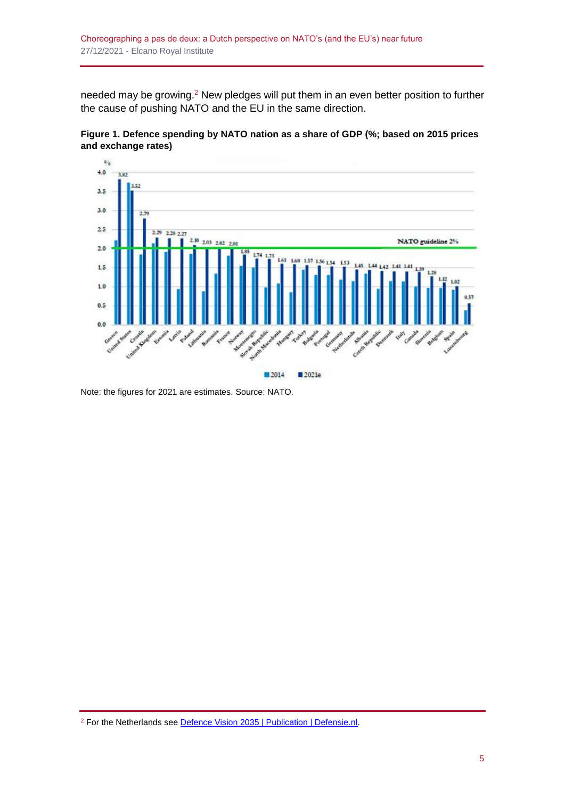needed may be growing.<sup>2</sup> New pledges will put them in an even better position to further the cause of pushing NATO and the EU in the same direction.





Note: the figures for 2021 are estimates. Source: NATO.

<sup>&</sup>lt;sup>2</sup> For the Netherlands see **Defence Vision 2035 | Publication | Defensie.nl.**